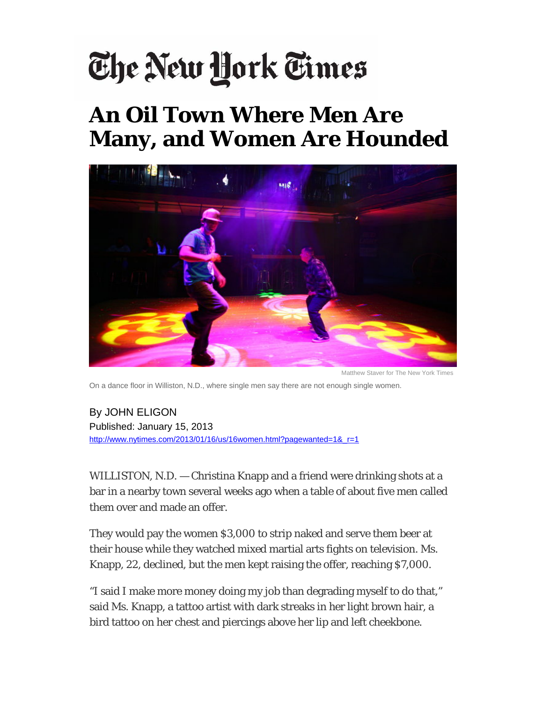## The New York Times

## **An Oil Town Where Men Are Many, and Women Are Hounded**



Matthew Staver for The New York Times

On a dance floor in Williston, N.D., where single men say there are not enough single women.

By JOHN ELIGON Published: January 15, 2013 http://www.nytimes.com/2013/01/16/us/16women.html?pagewanted=1&\_r=1

WILLISTON, N.D. — Christina Knapp and a friend were drinking shots at a bar in a nearby town several weeks ago when a table of about five men called them over and made an offer.

They would pay the women \$3,000 to strip naked and serve them beer at their house while they watched mixed martial arts fights on television. Ms. Knapp, 22, declined, but the men kept raising the offer, reaching \$7,000.

"I said I make more money doing my job than degrading myself to do that," said Ms. Knapp, a tattoo artist with dark streaks in her light brown hair, a bird tattoo on her chest and piercings above her lip and left cheekbone.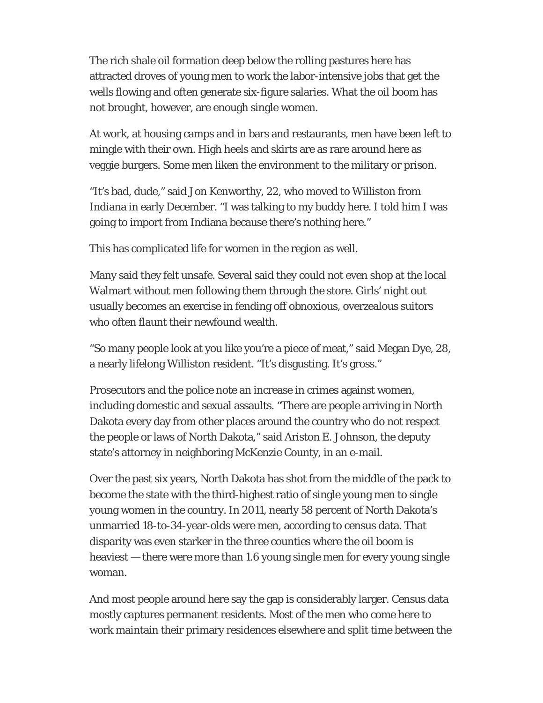The rich shale oil formation deep below the rolling pastures here has attracted droves of young men to work the labor-intensive jobs that get the wells flowing and often generate six-figure salaries. What the oil boom has not brought, however, are enough single women.

At work, at housing camps and in bars and restaurants, men have been left to mingle with their own. High heels and skirts are as rare around here as veggie burgers. Some men liken the environment to the military or prison.

"It's bad, dude," said Jon Kenworthy, 22, who moved to Williston from Indiana in early December. "I was talking to my buddy here. I told him I was going to import from Indiana because there's nothing here."

This has complicated life for women in the region as well.

Many said they felt unsafe. Several said they could not even shop at the local Walmart without men following them through the store. Girls' night out usually becomes an exercise in fending off obnoxious, overzealous suitors who often flaunt their newfound wealth.

"So many people look at you like you're a piece of meat," said Megan Dye, 28, a nearly lifelong Williston resident. "It's disgusting. It's gross."

Prosecutors and the police note an increase in crimes against women, including domestic and sexual assaults. "There are people arriving in North Dakota every day from other places around the country who do not respect the people or laws of North Dakota," said Ariston E. Johnson, the deputy state's attorney in neighboring McKenzie County, in an e-mail.

Over the past six years, North Dakota has shot from the middle of the pack to become the state with the third-highest ratio of single young men to single young women in the country. In 2011, nearly 58 percent of North Dakota's unmarried 18-to-34-year-olds were men, according to census data. That disparity was even starker in the three counties where the oil boom is heaviest — there were more than 1.6 young single men for every young single woman.

And most people around here say the gap is considerably larger. Census data mostly captures permanent residents. Most of the men who come here to work maintain their primary residences elsewhere and split time between the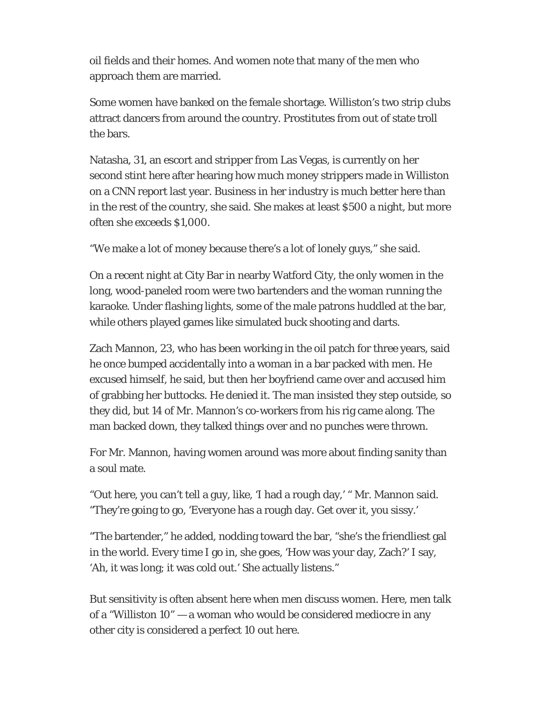oil fields and their homes. And women note that many of the men who approach them are married.

Some women have banked on the female shortage. Williston's two strip clubs attract dancers from around the country. Prostitutes from out of state troll the bars.

Natasha, 31, an escort and stripper from Las Vegas, is currently on her second stint here after hearing how much money strippers made in Williston on a CNN report last year. Business in her industry is much better here than in the rest of the country, she said. She makes at least \$500 a night, but more often she exceeds \$1,000.

"We make a lot of money because there's a lot of lonely guys," she said.

On a recent night at City Bar in nearby Watford City, the only women in the long, wood-paneled room were two bartenders and the woman running the karaoke. Under flashing lights, some of the male patrons huddled at the bar, while others played games like simulated buck shooting and darts.

Zach Mannon, 23, who has been working in the oil patch for three years, said he once bumped accidentally into a woman in a bar packed with men. He excused himself, he said, but then her boyfriend came over and accused him of grabbing her buttocks. He denied it. The man insisted they step outside, so they did, but 14 of Mr. Mannon's co-workers from his rig came along. The man backed down, they talked things over and no punches were thrown.

For Mr. Mannon, having women around was more about finding sanity than a soul mate.

"Out here, you can't tell a guy, like, 'I had a rough day,' " Mr. Mannon said. "They're going to go, 'Everyone has a rough day. Get over it, you sissy.'

"The bartender," he added, nodding toward the bar, "she's the friendliest gal in the world. Every time I go in, she goes, 'How was your day, Zach?' I say, 'Ah, it was long; it was cold out.' She actually listens."

But sensitivity is often absent here when men discuss women. Here, men talk of a "Williston 10" — a woman who would be considered mediocre in any other city is considered a perfect 10 out here.